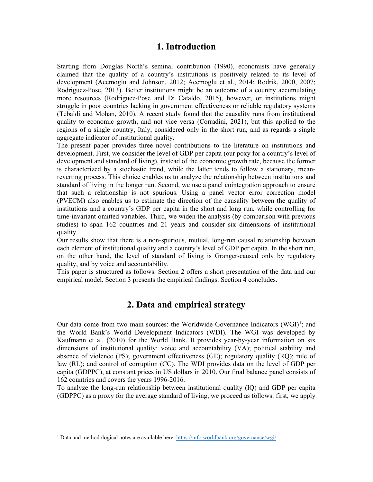#### **1. Introduction**

Starting from Douglas North's seminal contribution (1990), economists have generally claimed that the quality of a country's institutions is positively related to its level of development (Acemoglu and Johnson, 2012; Acemoglu et al., 2014; Rodrik, 2000, 2007; Rodriguez-Pose, 2013). Better institutions might be an outcome of a country accumulating more resources (Rodriguez-Pose and Di Cataldo, 2015), however, or institutions might struggle in poor countries lacking in government effectiveness or reliable regulatory systems (Tebaldi and Mohan, 2010). A recent study found that the causality runs from institutional quality to economic growth, and not vice versa (Corradini, 2021), but this applied to the regions of a single country, Italy, considered only in the short run, and as regards a single aggregate indicator of institutional quality.

The present paper provides three novel contributions to the literature on institutions and development. First, we consider the level of GDP per capita (our poxy for a country's level of development and standard of living), instead of the economic growth rate, because the former is characterized by a stochastic trend, while the latter tends to follow a stationary, meanreverting process. This choice enables us to analyze the relationship between institutions and standard of living in the longer run. Second, we use a panel cointegration approach to ensure that such a relationship is not spurious. Using a panel vector error correction model (PVECM) also enables us to estimate the direction of the causality between the quality of institutions and a country's GDP per capita in the short and long run, while controlling for time-invariant omitted variables. Third, we widen the analysis (by comparison with previous studies) to span 162 countries and 21 years and consider six dimensions of institutional quality.

Our results show that there is a non-spurious, mutual, long-run causal relationship between each element of institutional quality and a country's level of GDP per capita. In the short run, on the other hand, the level of standard of living is Granger-caused only by regulatory quality, and by voice and accountability.

This paper is structured as follows. Section 2 offers a short presentation of the data and our empirical model. Section 3 presents the empirical findings. Section 4 concludes.

### **2. Data and empirical strategy**

Our data come from two main sources: the Worldwide Governance Indicators  $(WGI)^1$ ; and the World Bank's World Development Indicators (WDI). The WGI was developed by Kaufmann et al. (2010) for the World Bank. It provides year-by-year information on six dimensions of institutional quality: voice and accountability (VA); political stability and absence of violence (PS); government effectiveness (GE); regulatory quality (RQ); rule of law (RL); and control of corruption (CC). The WDI provides data on the level of GDP per capita (GDPPC), at constant prices in US dollars in 2010. Our final balance panel consists of 162 countries and covers the years 1996-2016.

To analyze the long-run relationship between institutional quality (IQ) and GDP per capita (GDPPC) as a proxy for the average standard of living, we proceed as follows: first, we apply

<sup>&</sup>lt;sup>1</sup> Data and methodological notes are available here: https://info.worldbank.org/governance/wgi/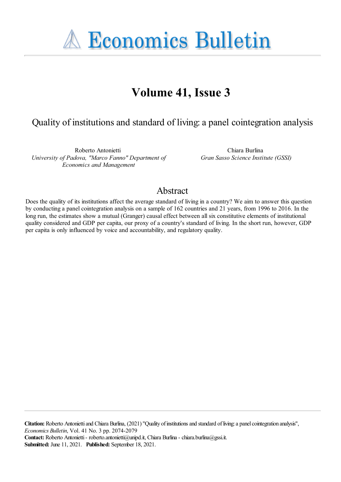**A Economics Bulletin** 

# **Volume 41, Issue 3**

# Quality of institutions and standard of living: a panel cointegration analysis

Roberto Antonietti *University of Padova, "Marco Fanno" Department of Economics and Management*

Chiara Burlina *Gran Sasso Science Institute (GSSI)*

## Abstract

Does the quality of its institutions affect the average standard of living in a country? We aim to answer this question by conducting a panel cointegration analysis on a sample of 162 countries and 21 years, from 1996 to 2016. In the long run, the estimates show a mutual (Granger) causal effect between all six constitutive elements of institutional quality considered and GDP per capita, our proxy of a country's standard of living. In the short run, however, GDP per capita is only influenced by voice and accountability, and regulatory quality.

Citation: Roberto Antonietti and Chiara Burlina, (2021) "Ouality of institutions and standard of living: a panel cointegration analysis", *Economics Bulletin*, Vol. 41 No. 3 pp. 2074-2079 Contact: Roberto Antonietti - roberto.antonietti@unipd.it, Chiara Burlina - chiara.burlina@gssi.it. **Submitted:** June 11, 2021. **Published:** September 18, 2021.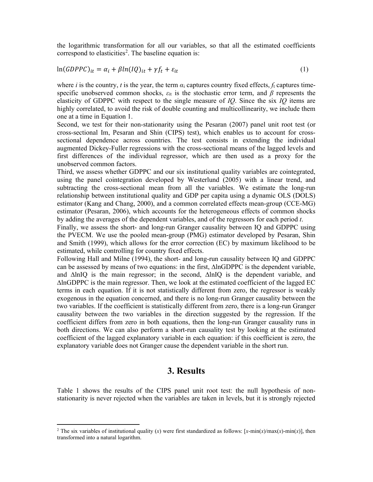the logarithmic transformation for all our variables, so that all the estimated coefficients correspond to elasticities<sup>2</sup>. The baseline equation is:

$$
\ln(GDPPC)_{it} = \alpha_i + \beta \ln(IQ)_{it} + \gamma f_t + \varepsilon_{it}
$$
\n<sup>(1)</sup>

where *i* is the country, *t* is the year, the term  $\alpha_i$  captures country fixed effects,  $f_t$  captures timespecific unobserved common shocks,  $\varepsilon_{it}$  is the stochastic error term, and  $\beta$  represents the elasticity of GDPPC with respect to the single measure of *IQ*. Since the six *IQ* items are highly correlated, to avoid the risk of double counting and multicollinearity, we include them one at a time in Equation 1.

Second, we test for their non-stationarity using the Pesaran (2007) panel unit root test (or cross-sectional Im, Pesaran and Shin (CIPS) test), which enables us to account for crosssectional dependence across countries. The test consists in extending the individual augmented Dickey-Fuller regressions with the cross-sectional means of the lagged levels and first differences of the individual regressor, which are then used as a proxy for the unobserved common factors.

Third, we assess whether GDPPC and our six institutional quality variables are cointegrated, using the panel cointegration developed by Westerlund (2005) with a linear trend, and subtracting the cross-sectional mean from all the variables. We estimate the long-run relationship between institutional quality and GDP per capita using a dynamic OLS (DOLS) estimator (Kang and Chang, 2000), and a common correlated effects mean-group (CCE-MG) estimator (Pesaran, 2006), which accounts for the heterogeneous effects of common shocks by adding the averages of the dependent variables, and of the regressors for each period *t*.

Finally, we assess the short- and long-run Granger causality between IQ and GDPPC using the PVECM. We use the pooled mean-group (PMG) estimator developed by Pesaran, Shin and Smith (1999), which allows for the error correction (EC) by maximum likelihood to be estimated, while controlling for country fixed effects.

Following Hall and Milne (1994), the short- and long-run causality between IQ and GDPPC can be assessed by means of two equations: in the first, ∆lnGDPPC is the dependent variable, and ∆lnIQ is the main regressor; in the second, ∆lnIQ is the dependent variable, and ∆lnGDPPC is the main regressor. Then, we look at the estimated coefficient of the lagged EC terms in each equation. If it is not statistically different from zero, the regressor is weakly exogenous in the equation concerned, and there is no long-run Granger causality between the two variables. If the coefficient is statistically different from zero, there is a long-run Granger causality between the two variables in the direction suggested by the regression. If the coefficient differs from zero in both equations, then the long-run Granger causality runs in both directions. We can also perform a short-run causality test by looking at the estimated coefficient of the lagged explanatory variable in each equation: if this coefficient is zero, the explanatory variable does not Granger cause the dependent variable in the short run.

#### **3. Results**

Table 1 shows the results of the CIPS panel unit root test: the null hypothesis of nonstationarity is never rejected when the variables are taken in levels, but it is strongly rejected

<sup>&</sup>lt;sup>2</sup> The six variables of institutional quality (*x*) were first standardized as follows: [*x*-min(*x*)/max(*x*)-min(*x*)], then transformed into a natural logarithm.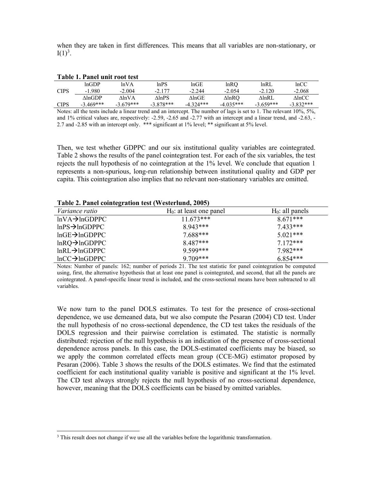when they are taken in first differences. This means that all variables are non-stationary, or  $I(1)^3$ .

| THUIL TI THINT MILL TOUR LOUD |             |              |             |             |                  |             |                     |
|-------------------------------|-------------|--------------|-------------|-------------|------------------|-------------|---------------------|
|                               | lnGDP       | lnVA         | lnPS        | $ln$ GE     | lnRO             | lnRL        | lnCC                |
| CIPS                          | $-1.980$    | $-2.004$     | $-2.177$    | $-2.244$    | $-2.054$         | $-2.120$    | $-2.068$            |
|                               | AlnGDP.     | <b>AlnVA</b> | AlnPS       | AlnGE       | $\triangle$ lnRO | AlnRL       | $\triangle$ ln $CC$ |
| CIPS                          | $-3.469***$ | $-3.679***$  | $-3.878***$ | $-4.324***$ | $-4.035***$      | $-3.659***$ | $-3.832***$         |

Notes: all the tests include a linear trend and an intercept. The number of lags is set to 1. The relevant 10%, 5%, and 1% critical values are, respectively: -2.59, -2.65 and -2.77 with an intercept and a linear trend, and -2.63, - 2.7 and -2.85 with an intercept only. \*\*\* significant at 1% level; \*\* significant at 5% level.

Then, we test whether GDPPC and our six institutional quality variables are cointegrated. Table 2 shows the results of the panel cointegration test. For each of the six variables, the test rejects the null hypothesis of no cointegration at the 1% level. We conclude that equation 1 represents a non-spurious, long-run relationship between institutional quality and GDP per capita. This cointegration also implies that no relevant non-stationary variables are omitted.

| Table 2. I aller conflict ation lest (westerfully, 2003) |                            |                    |
|----------------------------------------------------------|----------------------------|--------------------|
| <i>Variance ratio</i>                                    | $H_0$ : at least one panel | $H_0$ : all panels |
| $lnVA \rightarrow lnGDPPC$                               | $11.673***$                | $8.671***$         |
| $lnPS \rightarrow lnGDPPC$                               | $8.943***$                 | $7.433***$         |
| $lnGE\rightarrow lnGDPPC$                                | $7.688***$                 | $5.021***$         |
| $ln RQ \rightarrow ln GDPPC$                             | $8.487***$                 | $7.172***$         |
| $ln R L \rightarrow ln GDPPC$                            | 9.599***                   | 7.982***           |
| $lnCC \rightarrow lnGDPPC$                               | $9.709***$                 | $6.854***$         |

**Table 2. Panel cointegration test (Westerlund, 2005)** 

**Table 1. Panel unit root test** 

Notes: Number of panels: 162; number of periods 21. The test statistic for panel cointegration be computed using, first, the alternative hypothesis that at least one panel is cointegrated, and second, that all the panels are cointegrated. A panel-specific linear trend is included, and the cross-sectional means have been subtracted to all variables.

We now turn to the panel DOLS estimates. To test for the presence of cross-sectional dependence, we use demeaned data, but we also compute the Pesaran (2004) CD test. Under the null hypothesis of no cross-sectional dependence, the CD test takes the residuals of the DOLS regression and their pairwise correlation is estimated. The statistic is normally distributed: rejection of the null hypothesis is an indication of the presence of cross-sectional dependence across panels. In this case, the DOLS-estimated coefficients may be biased, so we apply the common correlated effects mean group (CCE-MG) estimator proposed by Pesaran (2006). Table 3 shows the results of the DOLS estimates. We find that the estimated coefficient for each institutional quality variable is positive and significant at the 1% level. The CD test always strongly rejects the null hypothesis of no cross-sectional dependence, however, meaning that the DOLS coefficients can be biased by omitted variables.

 $3$  This result does not change if we use all the variables before the logarithmic transformation.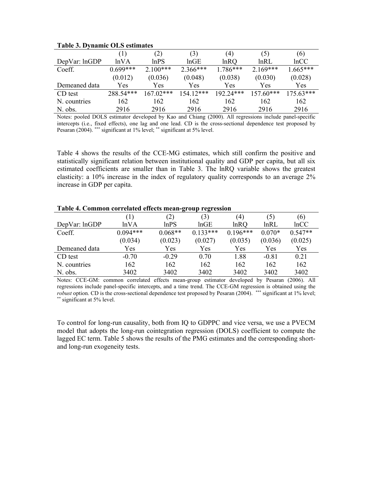|               | $\left(1\right)$ | (2)         | (3)         | (4)         | (5)               | (6)         |
|---------------|------------------|-------------|-------------|-------------|-------------------|-------------|
| DepVar: lnGDP | lnVA             | lnPS        | lnGE        | lnRO        | ln R <sub>L</sub> | lnCC        |
| Coeff.        | $0.699***$       | $2.100***$  | $2.366***$  | 1.786***    | $2.169***$        | $1.665***$  |
|               | (0.012)          | (0.036)     | (0.048)     | (0.038)     | (0.030)           | (0.028)     |
| Demeaned data | Yes              | Yes         | Yes         | Yes         | Yes               | <b>Yes</b>  |
| CD test       | 288.54***        | $167.02***$ | $154.12***$ | $192.24***$ | $157.60***$       | $175.63***$ |
| N. countries  | 162              | 162         | 162         | 162         | 162               | 162         |
| N. obs.       | 2916             | 2916        | 2916        | 2916        | 2916              | 2916        |

#### **Table 3. Dynamic OLS estimates**

Notes: pooled DOLS estimator developed by Kao and Chiang (2000). All regressions include panel-specific intercepts (i.e., fixed effects), one lag and one lead. CD is the cross-sectional dependence test proposed by Pesaran (2004). \*\*\* significant at 1% level; \*\* significant at 5% level.

Table 4 shows the results of the CCE-MG estimates, which still confirm the positive and statistically significant relation between institutional quality and GDP per capita, but all six estimated coefficients are smaller than in Table 3. The lnRQ variable shows the greatest elasticity: a 10% increase in the index of regulatory quality corresponds to an average 2% increase in GDP per capita.

|               |            | (2)       | (3)        | $\left(4\right)$ | (5)      | (6)       |
|---------------|------------|-----------|------------|------------------|----------|-----------|
| DepVar: lnGDP | lnVA       | ln PS     | lnGE       | lnRQ             | lnRL     | lnCC      |
| Coeff.        | $0.094***$ | $0.068**$ | $0.133***$ | $0.196***$       | $0.070*$ | $0.547**$ |
|               | (0.034)    | (0.023)   | (0.027)    | (0.035)          | (0.036)  | (0.025)   |
| Demeaned data | Yes        | Yes       | Yes        | Yes              | Yes      | Yes       |
| CD test       | $-0.70$    | $-0.29$   | 0.70       | 1.88             | $-0.81$  | 0.21      |
| N. countries  | 162        | 162       | 162        | 162              | 162      | 162       |
| N. obs.       | 3402       | 3402      | 3402       | 3402             | 3402     | 3402      |

#### **Table 4. Common correlated effects mean-group regression**

Notes: CCE-GM: common correlated effects mean-group estimator developed by Pesaran (2006). All regressions include panel-specific intercepts, and a time trend. The CCE-GM regression is obtained using the *robust* option. CD is the cross-sectional dependence test proposed by Pesaran (2004). \*\*\* significant at 1% level; \*\* significant at 5% level.

To control for long-run causality, both from IQ to GDPPC and vice versa, we use a PVECM model that adopts the long-run cointegration regression (DOLS) coefficient to compute the lagged EC term. Table 5 shows the results of the PMG estimates and the corresponding shortand long-run exogeneity tests.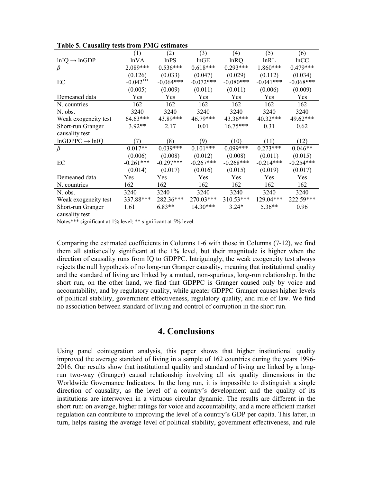|                            | (1)         | (2)         | (3)         | (4)         | (5)               | (6)         |
|----------------------------|-------------|-------------|-------------|-------------|-------------------|-------------|
| $lnIQ \rightarrow lnGDP$   | lnVA        | lnPS        | lnGE        | lnRO        | ln R <sub>L</sub> | lnCC        |
| $\beta$                    | 2.089***    | $0.536***$  | $0.618***$  | $0.293***$  | $1.860***$        | $0.479***$  |
|                            | (0.126)     | (0.033)     | (0.047)     | (0.029)     | (0.112)           | (0.034)     |
| EC                         | $-0.042***$ | $-0.064***$ | $-0.072***$ | $-0.080***$ | $-0.041***$       | $-0.068***$ |
|                            | (0.005)     | (0.009)     | (0.011)     | (0.011)     | (0.006)           | (0.009)     |
| Demeaned data              | Yes         | Yes         | Yes         | Yes         | Yes               | Yes         |
| N. countries               | 162         | 162         | 162         | 162         | 162               | 162         |
| N. obs.                    | 3240        | 3240        | 3240        | 3240        | 3240              | 3240        |
| Weak exogeneity test       | 64.63***    | 43.89***    | $46.79***$  | 43.36***    | $40.32***$        | 49.62***    |
| Short-run Granger          | $3.92**$    | 2.17        | 0.01        | $16.75***$  | 0.31              | 0.62        |
| causality test             |             |             |             |             |                   |             |
| $lnGDPPC \rightarrow lnIQ$ | (7)         | (8)         | (9)         | (10)        | (11)              | (12)        |
| $\beta$                    | $0.017**$   | $0.039***$  | $0.101***$  | $0.099***$  | $0.273***$        | $0.046**$   |
|                            | (0.006)     | (0.008)     | (0.012)     | (0.008)     | (0.011)           | (0.015)     |
| EC                         | $-0.261***$ | $-0.297***$ | $-0.267***$ | $-0.268***$ | $-0.214***$       | $-0.254***$ |
|                            | (0.014)     | (0.017)     | (0.016)     | (0.015)     | (0.019)           | (0.017)     |
| Demeaned data              | Yes         | Yes         | Yes         | Yes         | Yes               | Yes         |
| N. countries               | 162         | 162         | 162         | 162         | 162               | 162         |
| N. obs.                    | 3240        | 3240        | 3240        | 3240        | 3240              | 3240        |
| Weak exogeneity test       | 337.88***   | 282.36***   | $270.03***$ | 310.53***   | 129.04***         | 222.59***   |
| Short-run Granger          | 1.61        | $6.83**$    | 14.30***    | $3.24*$     | $5.36**$          | 0.96        |
| causality test             |             |             |             |             |                   |             |

|  |  |  | Table 5. Causality tests from PMG estimates |
|--|--|--|---------------------------------------------|
|--|--|--|---------------------------------------------|

Notes\*\*\* significant at 1% level; \*\* significant at 5% level.

Comparing the estimated coefficients in Columns 1-6 with those in Columns (7-12), we find them all statistically significant at the 1% level, but their magnitude is higher when the direction of causality runs from IQ to GDPPC. Intriguingly, the weak exogeneity test always rejects the null hypothesis of no long-run Granger causality, meaning that institutional quality and the standard of living are linked by a mutual, non-spurious, long-run relationship. In the short run, on the other hand, we find that GDPPC is Granger caused only by voice and accountability, and by regulatory quality, while greater GDPPC Granger causes higher levels of political stability, government effectiveness, regulatory quality, and rule of law. We find no association between standard of living and control of corruption in the short run.

## **4. Conclusions**

Using panel cointegration analysis, this paper shows that higher institutional quality improved the average standard of living in a sample of 162 countries during the years 1996- 2016. Our results show that institutional quality and standard of living are linked by a longrun two-way (Granger) causal relationship involving all six quality dimensions in the Worldwide Governance Indicators. In the long run, it is impossible to distinguish a single direction of causality, as the level of a country's development and the quality of its institutions are interwoven in a virtuous circular dynamic. The results are different in the short run: on average, higher ratings for voice and accountability, and a more efficient market regulation can contribute to improving the level of a country's GDP per capita. This latter, in turn, helps raising the average level of political stability, government effectiveness, and rule